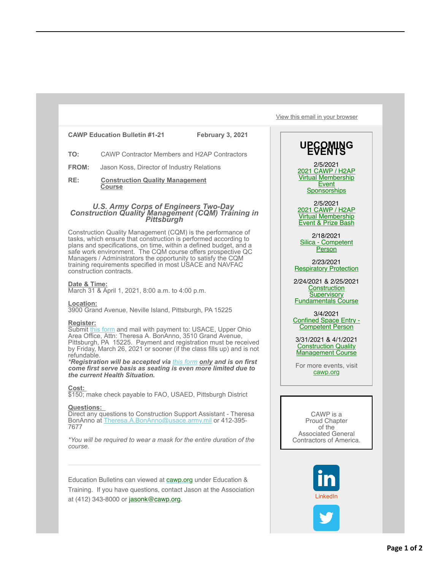## **CAWP Education Bulletin #1-21 February 3, 2021**

**TO:** CAWP Contractor Members and H2AP Contractors

**FROM:** Jason Koss, Director of Industry Relations

**RE: Construction Quality Management Course**

# *U.S. Army Corps of Engineers Two-Day Construction Quality Management (CQM) Training in Pittsburgh*

Construction Quality Management (CQM) is the performance of tasks, which ensure that construction is performed according to plans and specifications, on time, within a defined budget, and a safe work environment. The CQM course offers prospective QC Managers / Administrators the opportunity to satisfy the CQM training requirements specified in most USACE and NAVFAC construction contracts.

## **Date & Time:**

March 31 & April 1, 2021, 8:00 a.m. to 4:00 p.m.

**Location:**

3900 Grand Avenue, Neville Island, Pittsburgh, PA 15225

#### **Register:**

Submit [this form](https://protect-us.mimecast.com/s/kfxzCW6XGRH2BGI21Rr0?domain=cawp.us6.list-manage.com) and mail with payment to: USACE, Upper Ohio Area Office, Attn: Theresa A. BonAnno, 3510 Grand Avenue, Pittsburgh, PA 15225. Payment and registration must be received by Friday, March 26, 2021 or sooner (if the class fills up) and is not refundable.

*\*Registration will be accepted via [this form](https://protect-us.mimecast.com/s/dT3PCXD2JRt1Y0io4HKw?domain=cawp.us6.list-manage.com) only and is on first come first serve basis as seating is even more limited due to the current Health Situation.*

#### **Cost:**

\$150; make check payable to FAO, USAED, Pittsburgh District

#### **Questions:**

Direct any questions to Construction Support Assistant - Theresa BonAnno at [Theresa.A.BonAnno@usace.army.mil](mailto:Theresa.A.BonAnno@usace.army.mil) or 412-395-7677

*\*You will be required to wear a mask for the entire duration of the course.*

Education Bulletins can viewed at **[cawp.org](https://protect-us.mimecast.com/s/c3yxCYENKRHQxOU6hSvK?domain=cawp.us6.list-manage.com)** under Education & Training. If you have questions, contact Jason at the Association at (412) 343-8000 or [jasonk@cawp.org.](mailto:jasonk@cawp.org)

[View this email in your browser](https://protect-us.mimecast.com/s/I4P-CADgVxtgW2iGfMpB?domain=mailchi.mp)

# UPCOMING

2/5/2021 [2021 CAWP / H2AP](https://protect-us.mimecast.com/s/2pfXCZ6NLRHEN2C62to7?domain=cawp.us6.list-manage.com) Virtual Membership **Event Sponsorships** 

2/5/2021 [2021 CAWP / H2AP](https://protect-us.mimecast.com/s/tcu2C1wPyDu1Y5ioB4i8?domain=cawp.us6.list-manage.com) Virtual Membership Event & Prize Bash

2/18/2021 [Silica - Competent](https://protect-us.mimecast.com/s/dh4jC2kQ0EcvwOcGX2TU?domain=cawp.us6.list-manage.com) **Person** 

2/23/2021 [Respiratory Protection](https://protect-us.mimecast.com/s/fkQsC31PAGUwQ0UWCfRi?domain=cawp.us6.list-manage.com)

2/24/2021 & 2/25/2021 **Construction Supervisory** [Fundamentals Course](https://protect-us.mimecast.com/s/G5lsC4xPBJfy13f4X0N5?domain=cawp.us6.list-manage.com)

3/4/2021 [Confined Space Entry -](https://protect-us.mimecast.com/s/nAcGC5yXDgcoG4Cq9BWH?domain=cawp.us6.list-manage.com) Competent Person

3/31/2021 & 4/1/2021 **Construction Quality** [Management Course](https://protect-us.mimecast.com/s/w4s_C684EjUEK8CREkHT?domain=cawp.us6.list-manage.com)

For more events, visit [cawp.org](https://protect-us.mimecast.com/s/withC732GkFvkocMCWz0?domain=cawp.us6.list-manage.com)

CAWP is a Proud Chapter of the Associated General Contractors of America.